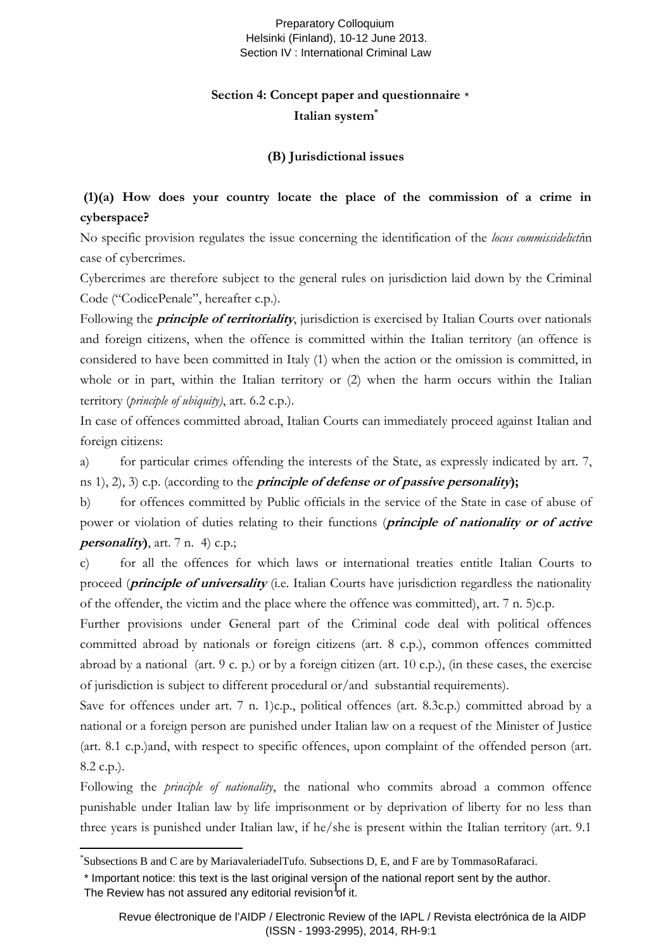#### Preparatory Colloquium Helsinki (Finland), 10-12 June 2013. Section IV : International Criminal Law

## **Section 4: Concept paper and questionnaire** \***Italian system\***

#### **(B) Jurisdictional issues**

## **(1)(a) How does your country locate the place of the commission of a crime in cyberspace?**

No specific provision regulates the issue concerning the identification of the *locus commissidelicti*in case of cybercrimes.

Cybercrimes are therefore subject to the general rules on jurisdiction laid down by the Criminal Code ("CodicePenale", hereafter c.p.).

Following the **principle of territoriality**, jurisdiction is exercised by Italian Courts over nationals and foreign citizens, when the offence is committed within the Italian territory (an offence is considered to have been committed in Italy (1) when the action or the omission is committed, in whole or in part, within the Italian territory or (2) when the harm occurs within the Italian territory (*principle of ubiquity)*, art. 6.2 c.p.).

In case of offences committed abroad, Italian Courts can immediately proceed against Italian and foreign citizens:

a) for particular crimes offending the interests of the State, as expressly indicated by art. 7, ns 1), 2), 3) c.p. (according to the **principle of defense or of passive personality);**

b) for offences committed by Public officials in the service of the State in case of abuse of power or violation of duties relating to their functions (**principle of nationality or of active personality)**, art. 7 n. 4) c.p.;

c) for all the offences for which laws or international treaties entitle Italian Courts to proceed (**principle of universality** (i.e. Italian Courts have jurisdiction regardless the nationality of the offender, the victim and the place where the offence was committed), art. 7 n. 5)c.p.

Further provisions under General part of the Criminal code deal with political offences committed abroad by nationals or foreign citizens (art. 8 c.p.), common offences committed abroad by a national (art. 9 c. p.) or by a foreign citizen (art. 10 c.p.), (in these cases, the exercise of jurisdiction is subject to different procedural or/and substantial requirements).

Save for offences under art. 7 n. 1)c.p., political offences (art. 8.3c.p.) committed abroad by a national or a foreign person are punished under Italian law on a request of the Minister of Justice (art. 8.1 c.p.)and, with respect to specific offences, upon complaint of the offended person (art. 8.2 c.p.).

Following the *principle of nationality*, the national who commits abroad a common offence punishable under Italian law by life imprisonment or by deprivation of liberty for no less than three years is punished under Italian law, if he/she is present within the Italian territory (art. 9.1

Imperiant netter the text is the last enginal version of it.

 $\overline{a}$ 

<sup>\*</sup> Subsections B and C are by MariavaleriadelTufo. Subsections D, E, and F are by TommasoRafaraci.

<sup>\*</sup> Important notice: this text is the last original version of the national report sent by the author.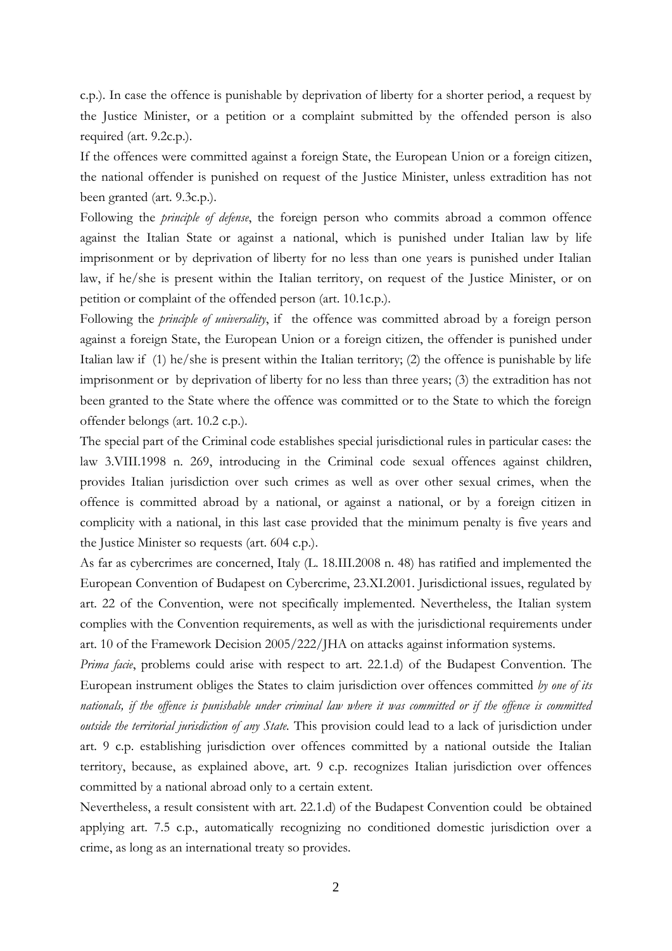c.p.). In case the offence is punishable by deprivation of liberty for a shorter period, a request by the Justice Minister, or a petition or a complaint submitted by the offended person is also required (art. 9.2c.p.).

If the offences were committed against a foreign State, the European Union or a foreign citizen, the national offender is punished on request of the Justice Minister, unless extradition has not been granted (art. 9.3c.p.).

Following the *principle of defense*, the foreign person who commits abroad a common offence against the Italian State or against a national, which is punished under Italian law by life imprisonment or by deprivation of liberty for no less than one years is punished under Italian law, if he/she is present within the Italian territory, on request of the Justice Minister, or on petition or complaint of the offended person (art. 10.1c.p.).

Following the *principle of universality*, if the offence was committed abroad by a foreign person against a foreign State, the European Union or a foreign citizen, the offender is punished under Italian law if (1) he/she is present within the Italian territory; (2) the offence is punishable by life imprisonment or by deprivation of liberty for no less than three years; (3) the extradition has not been granted to the State where the offence was committed or to the State to which the foreign offender belongs (art. 10.2 c.p.).

The special part of the Criminal code establishes special jurisdictional rules in particular cases: the law 3.VIII.1998 n. 269, introducing in the Criminal code sexual offences against children, provides Italian jurisdiction over such crimes as well as over other sexual crimes, when the offence is committed abroad by a national, or against a national, or by a foreign citizen in complicity with a national, in this last case provided that the minimum penalty is five years and the Justice Minister so requests (art. 604 c.p.).

As far as cybercrimes are concerned, Italy (L. 18.III.2008 n. 48) has ratified and implemented the European Convention of Budapest on Cybercrime, 23.XI.2001. Jurisdictional issues, regulated by art. 22 of the Convention, were not specifically implemented. Nevertheless, the Italian system complies with the Convention requirements, as well as with the jurisdictional requirements under art. 10 of the Framework Decision 2005/222/JHA on attacks against information systems.

*Prima facie*, problems could arise with respect to art. 22.1.d) of the Budapest Convention. The European instrument obliges the States to claim jurisdiction over offences committed *by one of its*  nationals, if the offence is punishable under criminal law where it was committed or if the offence is committed *outside the territorial jurisdiction of any State.* This provision could lead to a lack of jurisdiction under art. 9 c.p. establishing jurisdiction over offences committed by a national outside the Italian territory, because, as explained above, art. 9 c.p. recognizes Italian jurisdiction over offences committed by a national abroad only to a certain extent.

Nevertheless, a result consistent with art. 22.1.d) of the Budapest Convention could be obtained applying art. 7.5 c.p., automatically recognizing no conditioned domestic jurisdiction over a crime, as long as an international treaty so provides.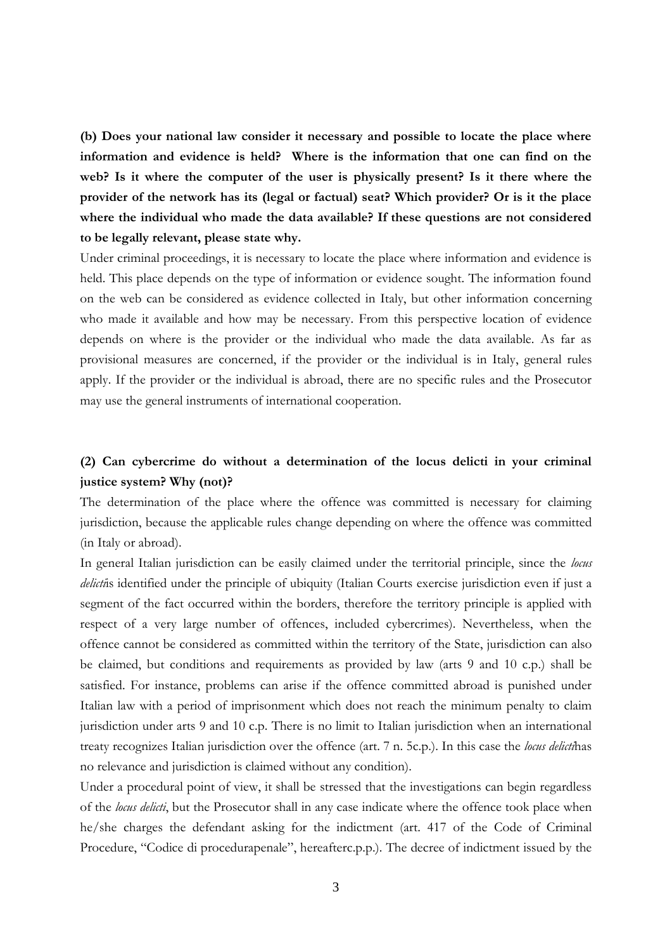**(b) Does your national law consider it necessary and possible to locate the place where information and evidence is held? Where is the information that one can find on the web? Is it where the computer of the user is physically present? Is it there where the provider of the network has its (legal or factual) seat? Which provider? Or is it the place where the individual who made the data available? If these questions are not considered to be legally relevant, please state why.**

Under criminal proceedings, it is necessary to locate the place where information and evidence is held. This place depends on the type of information or evidence sought. The information found on the web can be considered as evidence collected in Italy, but other information concerning who made it available and how may be necessary. From this perspective location of evidence depends on where is the provider or the individual who made the data available. As far as provisional measures are concerned, if the provider or the individual is in Italy, general rules apply. If the provider or the individual is abroad, there are no specific rules and the Prosecutor may use the general instruments of international cooperation.

### **(2) Can cybercrime do without a determination of the locus delicti in your criminal justice system? Why (not)?**

The determination of the place where the offence was committed is necessary for claiming jurisdiction, because the applicable rules change depending on where the offence was committed (in Italy or abroad).

In general Italian jurisdiction can be easily claimed under the territorial principle, since the *locus delicti*is identified under the principle of ubiquity (Italian Courts exercise jurisdiction even if just a segment of the fact occurred within the borders, therefore the territory principle is applied with respect of a very large number of offences, included cybercrimes). Nevertheless, when the offence cannot be considered as committed within the territory of the State, jurisdiction can also be claimed, but conditions and requirements as provided by law (arts 9 and 10 c.p.) shall be satisfied. For instance, problems can arise if the offence committed abroad is punished under Italian law with a period of imprisonment which does not reach the minimum penalty to claim jurisdiction under arts 9 and 10 c.p. There is no limit to Italian jurisdiction when an international treaty recognizes Italian jurisdiction over the offence (art. 7 n. 5c.p.). In this case the *locus delicti*has no relevance and jurisdiction is claimed without any condition).

Under a procedural point of view, it shall be stressed that the investigations can begin regardless of the *locus delicti*, but the Prosecutor shall in any case indicate where the offence took place when he/she charges the defendant asking for the indictment (art. 417 of the Code of Criminal Procedure, "Codice di procedurapenale", hereafterc.p.p.). The decree of indictment issued by the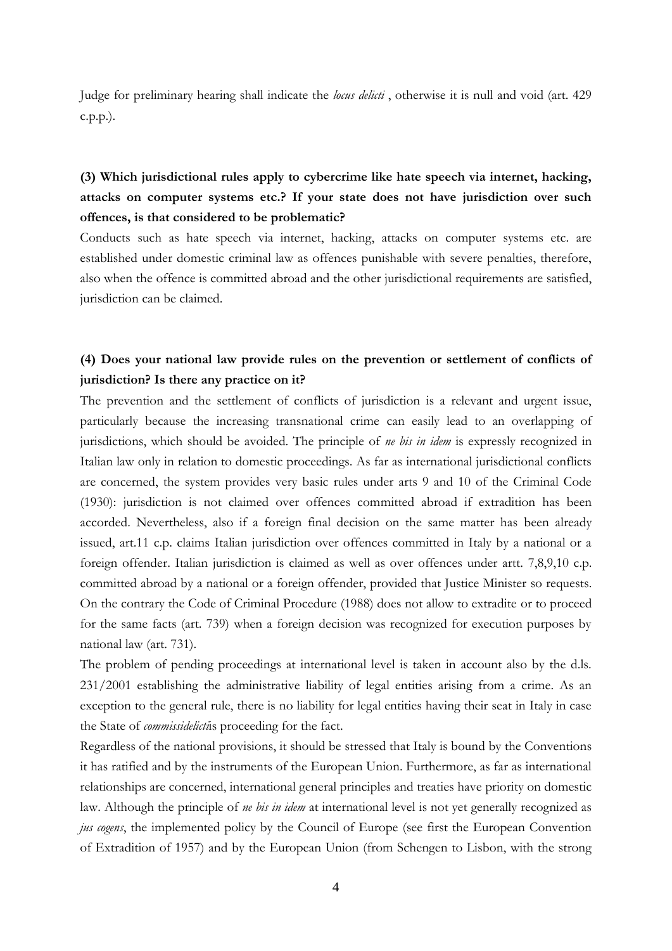Judge for preliminary hearing shall indicate the *locus delicti* , otherwise it is null and void (art. 429 c.p.p.).

## **(3) Which jurisdictional rules apply to cybercrime like hate speech via internet, hacking, attacks on computer systems etc.? If your state does not have jurisdiction over such offences, is that considered to be problematic?**

Conducts such as hate speech via internet, hacking, attacks on computer systems etc. are established under domestic criminal law as offences punishable with severe penalties, therefore, also when the offence is committed abroad and the other jurisdictional requirements are satisfied, jurisdiction can be claimed.

## **(4) Does your national law provide rules on the prevention or settlement of conflicts of jurisdiction? Is there any practice on it?**

The prevention and the settlement of conflicts of jurisdiction is a relevant and urgent issue, particularly because the increasing transnational crime can easily lead to an overlapping of jurisdictions, which should be avoided. The principle of *ne bis in idem* is expressly recognized in Italian law only in relation to domestic proceedings. As far as international jurisdictional conflicts are concerned, the system provides very basic rules under arts 9 and 10 of the Criminal Code (1930): jurisdiction is not claimed over offences committed abroad if extradition has been accorded. Nevertheless, also if a foreign final decision on the same matter has been already issued, art.11 c.p. claims Italian jurisdiction over offences committed in Italy by a national or a foreign offender. Italian jurisdiction is claimed as well as over offences under artt. 7,8,9,10 c.p. committed abroad by a national or a foreign offender, provided that Justice Minister so requests. On the contrary the Code of Criminal Procedure (1988) does not allow to extradite or to proceed for the same facts (art. 739) when a foreign decision was recognized for execution purposes by national law (art. 731).

The problem of pending proceedings at international level is taken in account also by the d.ls. 231/2001 establishing the administrative liability of legal entities arising from a crime. As an exception to the general rule, there is no liability for legal entities having their seat in Italy in case the State of *commissidelicti*is proceeding for the fact.

Regardless of the national provisions, it should be stressed that Italy is bound by the Conventions it has ratified and by the instruments of the European Union. Furthermore, as far as international relationships are concerned, international general principles and treaties have priority on domestic law. Although the principle of *ne bis in idem* at international level is not yet generally recognized as *jus cogens*, the implemented policy by the Council of Europe (see first the European Convention of Extradition of 1957) and by the European Union (from Schengen to Lisbon, with the strong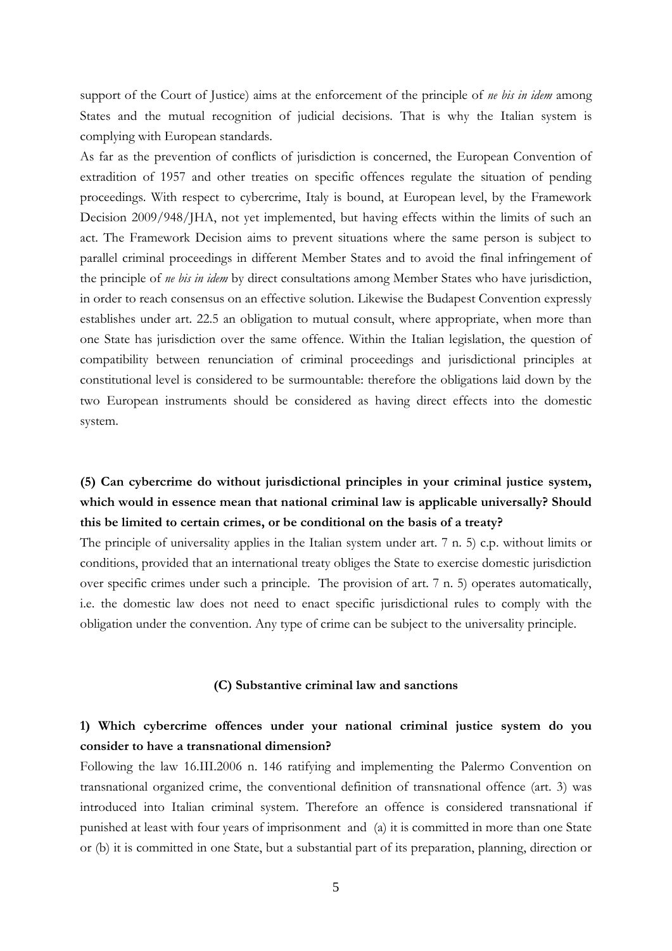support of the Court of Justice) aims at the enforcement of the principle of *ne bis in idem* among States and the mutual recognition of judicial decisions. That is why the Italian system is complying with European standards.

As far as the prevention of conflicts of jurisdiction is concerned, the European Convention of extradition of 1957 and other treaties on specific offences regulate the situation of pending proceedings. With respect to cybercrime, Italy is bound, at European level, by the Framework Decision 2009/948/JHA, not yet implemented, but having effects within the limits of such an act. The Framework Decision aims to prevent situations where the same person is subject to parallel criminal proceedings in different Member States and to avoid the final infringement of the principle of *ne bis in idem* by direct consultations among Member States who have jurisdiction, in order to reach consensus on an effective solution. Likewise the Budapest Convention expressly establishes under art. 22.5 an obligation to mutual consult, where appropriate, when more than one State has jurisdiction over the same offence. Within the Italian legislation, the question of compatibility between renunciation of criminal proceedings and jurisdictional principles at constitutional level is considered to be surmountable: therefore the obligations laid down by the two European instruments should be considered as having direct effects into the domestic system.

# **(5) Can cybercrime do without jurisdictional principles in your criminal justice system,**  which would in essence mean that national criminal law is applicable universally? Should **this be limited to certain crimes, or be conditional on the basis of a treaty?**

The principle of universality applies in the Italian system under art. 7 n. 5) c.p. without limits or conditions, provided that an international treaty obliges the State to exercise domestic jurisdiction over specific crimes under such a principle. The provision of art. 7 n. 5) operates automatically, i.e. the domestic law does not need to enact specific jurisdictional rules to comply with the obligation under the convention. Any type of crime can be subject to the universality principle.

#### **(C) Substantive criminal law and sanctions**

### **1) Which cybercrime offences under your national criminal justice system do you consider to have a transnational dimension?**

Following the law 16.III.2006 n. 146 ratifying and implementing the Palermo Convention on transnational organized crime, the conventional definition of transnational offence (art. 3) was introduced into Italian criminal system. Therefore an offence is considered transnational if punished at least with four years of imprisonment and (a) it is committed in more than one State or (b) it is committed in one State, but a substantial part of its preparation, planning, direction or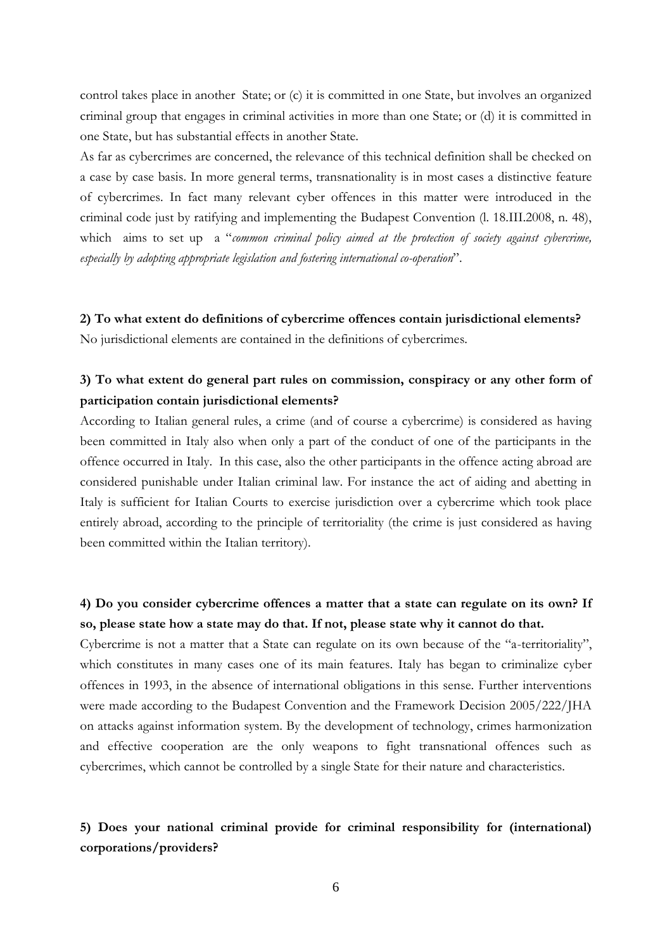control takes place in another State; or (c) it is committed in one State, but involves an organized criminal group that engages in criminal activities in more than one State; or (d) it is committed in one State, but has substantial effects in another State.

As far as cybercrimes are concerned, the relevance of this technical definition shall be checked on a case by case basis. In more general terms, transnationality is in most cases a distinctive feature of cybercrimes. In fact many relevant cyber offences in this matter were introduced in the criminal code just by ratifying and implementing the Budapest Convention (l. 18.III.2008, n. 48), which aims to set up a "*common criminal policy aimed at the protection of society against cybercrime, especially by adopting appropriate legislation and fostering international co-operation*".

**2) To what extent do definitions of cybercrime offences contain jurisdictional elements?** No jurisdictional elements are contained in the definitions of cybercrimes.

#### **3) To what extent do general part rules on commission, conspiracy or any other form of participation contain jurisdictional elements?**

According to Italian general rules, a crime (and of course a cybercrime) is considered as having been committed in Italy also when only a part of the conduct of one of the participants in the offence occurred in Italy. In this case, also the other participants in the offence acting abroad are considered punishable under Italian criminal law. For instance the act of aiding and abetting in Italy is sufficient for Italian Courts to exercise jurisdiction over a cybercrime which took place entirely abroad, according to the principle of territoriality (the crime is just considered as having been committed within the Italian territory).

### **4) Do you consider cybercrime offences a matter that a state can regulate on its own? If so, please state how a state may do that. If not, please state why it cannot do that.**

Cybercrime is not a matter that a State can regulate on its own because of the "a-territoriality", which constitutes in many cases one of its main features. Italy has began to criminalize cyber offences in 1993, in the absence of international obligations in this sense. Further interventions were made according to the Budapest Convention and the Framework Decision 2005/222/JHA on attacks against information system. By the development of technology, crimes harmonization and effective cooperation are the only weapons to fight transnational offences such as cybercrimes, which cannot be controlled by a single State for their nature and characteristics.

#### **5) Does your national criminal provide for criminal responsibility for (international) corporations/providers?**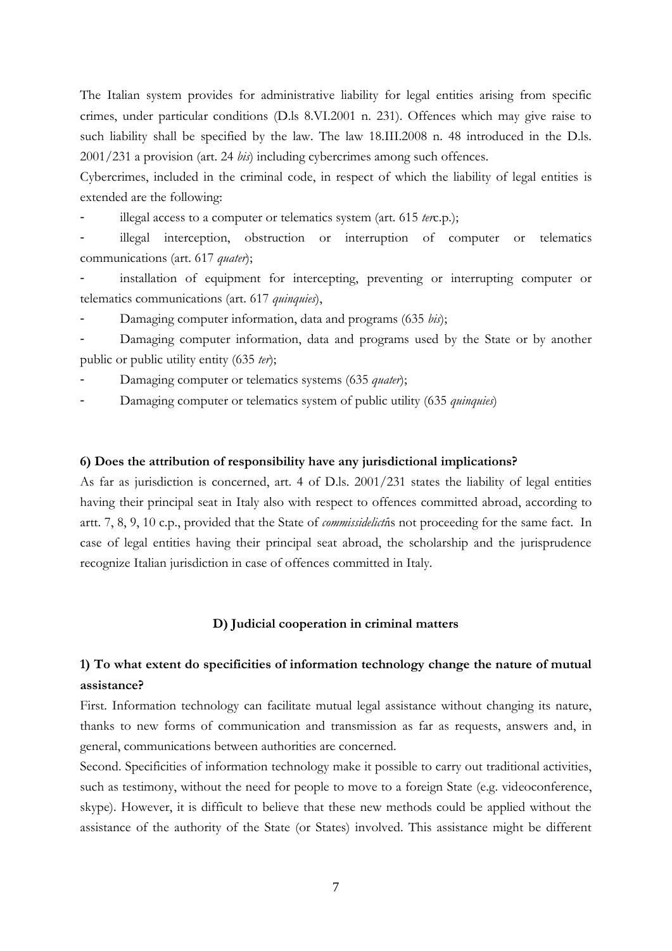The Italian system provides for administrative liability for legal entities arising from specific crimes, under particular conditions (D.ls 8.VI.2001 n. 231). Offences which may give raise to such liability shall be specified by the law. The law 18.III.2008 n. 48 introduced in the D.ls. 2001/231 a provision (art. 24 *bis*) including cybercrimes among such offences.

Cybercrimes, included in the criminal code, in respect of which the liability of legal entities is extended are the following:

illegal access to a computer or telematics system (art. 615 *terc.p.*);

illegal interception, obstruction or interruption of computer or telematics communications (art. 617 *quater*);

installation of equipment for intercepting, preventing or interrupting computer or telematics communications (art. 617 *quinquies*),

Damaging computer information, data and programs (635 *bis*);

Damaging computer information, data and programs used by the State or by another public or public utility entity (635 *ter*);

Damaging computer or telematics systems (635 *quater*);

- Damaging computer or telematics system of public utility (635 *quinquies*)

#### **6) Does the attribution of responsibility have any jurisdictional implications?**

As far as jurisdiction is concerned, art. 4 of D.ls. 2001/231 states the liability of legal entities having their principal seat in Italy also with respect to offences committed abroad, according to artt. 7, 8, 9, 10 c.p., provided that the State of *commissidelicti*is not proceeding for the same fact. In case of legal entities having their principal seat abroad, the scholarship and the jurisprudence recognize Italian jurisdiction in case of offences committed in Italy.

#### **D) Judicial cooperation in criminal matters**

#### **1) To what extent do specificities of information technology change the nature of mutual assistance?**

First. Information technology can facilitate mutual legal assistance without changing its nature, thanks to new forms of communication and transmission as far as requests, answers and, in general, communications between authorities are concerned.

Second. Specificities of information technology make it possible to carry out traditional activities, such as testimony, without the need for people to move to a foreign State (e.g. videoconference, skype). However, it is difficult to believe that these new methods could be applied without the assistance of the authority of the State (or States) involved. This assistance might be different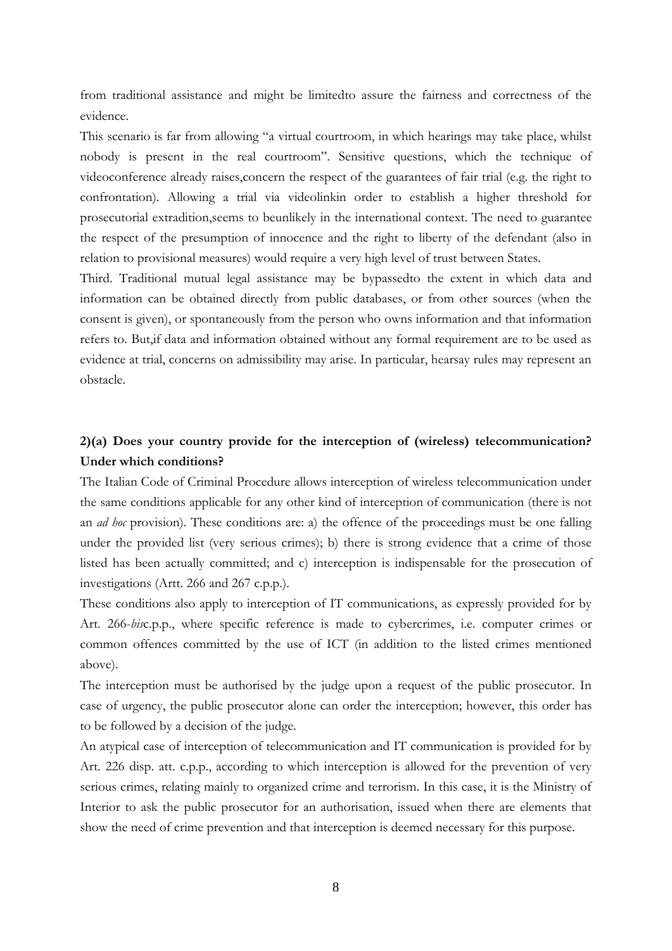from traditional assistance and might be limitedto assure the fairness and correctness of the evidence.

This scenario is far from allowing "a virtual courtroom, in which hearings may take place, whilst nobody is present in the real courtroom". Sensitive questions, which the technique of videoconference already raises,concern the respect of the guarantees of fair trial (e.g. the right to confrontation). Allowing a trial via videolinkin order to establish a higher threshold for prosecutorial extradition,seems to beunlikely in the international context. The need to guarantee the respect of the presumption of innocence and the right to liberty of the defendant (also in relation to provisional measures) would require a very high level of trust between States.

Third. Traditional mutual legal assistance may be bypassedto the extent in which data and information can be obtained directly from public databases, or from other sources (when the consent is given), or spontaneously from the person who owns information and that information refers to. But,if data and information obtained without any formal requirement are to be used as evidence at trial, concerns on admissibility may arise. In particular, hearsay rules may represent an obstacle.

#### **2)(a) Does your country provide for the interception of (wireless) telecommunication? Under which conditions?**

The Italian Code of Criminal Procedure allows interception of wireless telecommunication under the same conditions applicable for any other kind of interception of communication (there is not an *ad hoc* provision). These conditions are: a) the offence of the proceedings must be one falling under the provided list (very serious crimes); b) there is strong evidence that a crime of those listed has been actually committed; and c) interception is indispensable for the prosecution of investigations (Artt. 266 and 267 c.p.p.).

These conditions also apply to interception of IT communications, as expressly provided for by Art. 266-*bis*c.p.p., where specific reference is made to cybercrimes, i.e. computer crimes or common offences committed by the use of ICT (in addition to the listed crimes mentioned above).

The interception must be authorised by the judge upon a request of the public prosecutor. In case of urgency, the public prosecutor alone can order the interception; however, this order has to be followed by a decision of the judge.

An atypical case of interception of telecommunication and IT communication is provided for by Art. 226 disp. att. c.p.p., according to which interception is allowed for the prevention of very serious crimes, relating mainly to organized crime and terrorism. In this case, it is the Ministry of Interior to ask the public prosecutor for an authorisation, issued when there are elements that show the need of crime prevention and that interception is deemed necessary for this purpose.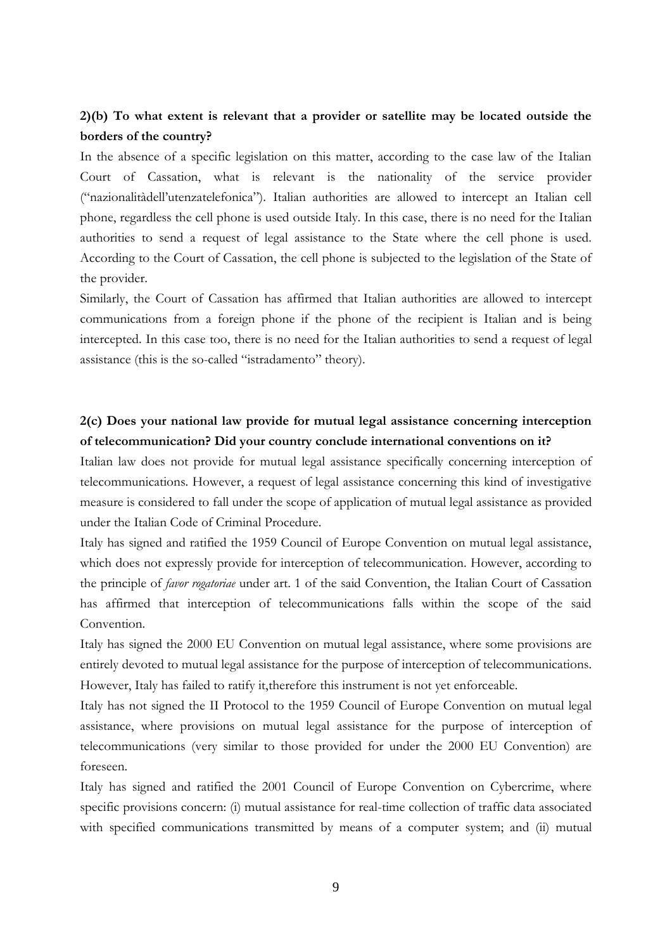### **2)(b) To what extent is relevant that a provider or satellite may be located outside the borders of the country?**

In the absence of a specific legislation on this matter, according to the case law of the Italian Court of Cassation, what is relevant is the nationality of the service provider ("nazionalitàdell'utenzatelefonica"). Italian authorities are allowed to intercept an Italian cell phone, regardless the cell phone is used outside Italy. In this case, there is no need for the Italian authorities to send a request of legal assistance to the State where the cell phone is used. According to the Court of Cassation, the cell phone is subjected to the legislation of the State of the provider.

Similarly, the Court of Cassation has affirmed that Italian authorities are allowed to intercept communications from a foreign phone if the phone of the recipient is Italian and is being intercepted. In this case too, there is no need for the Italian authorities to send a request of legal assistance (this is the so-called "istradamento" theory).

#### **2(c) Does your national law provide for mutual legal assistance concerning interception of telecommunication? Did your country conclude international conventions on it?**

Italian law does not provide for mutual legal assistance specifically concerning interception of telecommunications. However, a request of legal assistance concerning this kind of investigative measure is considered to fall under the scope of application of mutual legal assistance as provided under the Italian Code of Criminal Procedure.

Italy has signed and ratified the 1959 Council of Europe Convention on mutual legal assistance, which does not expressly provide for interception of telecommunication. However, according to the principle of *favor rogatoriae* under art. 1 of the said Convention, the Italian Court of Cassation has affirmed that interception of telecommunications falls within the scope of the said Convention.

Italy has signed the 2000 EU Convention on mutual legal assistance, where some provisions are entirely devoted to mutual legal assistance for the purpose of interception of telecommunications. However, Italy has failed to ratify it,therefore this instrument is not yet enforceable.

Italy has not signed the II Protocol to the 1959 Council of Europe Convention on mutual legal assistance, where provisions on mutual legal assistance for the purpose of interception of telecommunications (very similar to those provided for under the 2000 EU Convention) are foreseen.

Italy has signed and ratified the 2001 Council of Europe Convention on Cybercrime, where specific provisions concern: (i) mutual assistance for real-time collection of traffic data associated with specified communications transmitted by means of a computer system; and (ii) mutual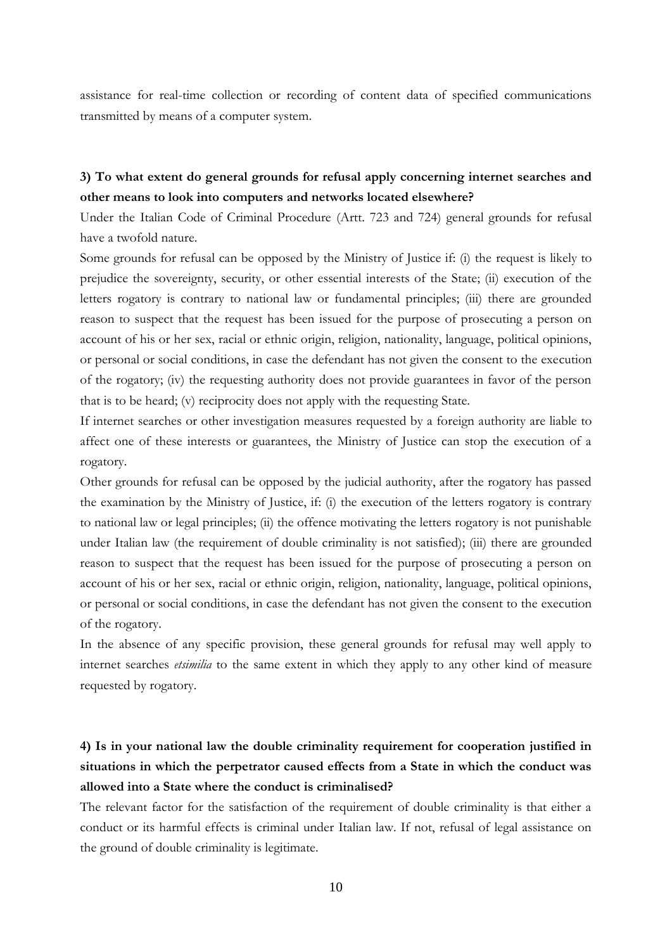assistance for real-time collection or recording of content data of specified communications transmitted by means of a computer system.

#### **3) To what extent do general grounds for refusal apply concerning internet searches and other means to look into computers and networks located elsewhere?**

Under the Italian Code of Criminal Procedure (Artt. 723 and 724) general grounds for refusal have a twofold nature.

Some grounds for refusal can be opposed by the Ministry of Justice if: (i) the request is likely to prejudice the sovereignty, security, or other essential interests of the State; (ii) execution of the letters rogatory is contrary to national law or fundamental principles; (iii) there are grounded reason to suspect that the request has been issued for the purpose of prosecuting a person on account of his or her sex, racial or ethnic origin, religion, nationality, language, political opinions, or personal or social conditions, in case the defendant has not given the consent to the execution of the rogatory; (iv) the requesting authority does not provide guarantees in favor of the person that is to be heard; (v) reciprocity does not apply with the requesting State.

If internet searches or other investigation measures requested by a foreign authority are liable to affect one of these interests or guarantees, the Ministry of Justice can stop the execution of a rogatory.

Other grounds for refusal can be opposed by the judicial authority, after the rogatory has passed the examination by the Ministry of Justice, if: (i) the execution of the letters rogatory is contrary to national law or legal principles; (ii) the offence motivating the letters rogatory is not punishable under Italian law (the requirement of double criminality is not satisfied); (iii) there are grounded reason to suspect that the request has been issued for the purpose of prosecuting a person on account of his or her sex, racial or ethnic origin, religion, nationality, language, political opinions, or personal or social conditions, in case the defendant has not given the consent to the execution of the rogatory.

In the absence of any specific provision, these general grounds for refusal may well apply to internet searches *etsimilia* to the same extent in which they apply to any other kind of measure requested by rogatory.

# **4) Is in your national law the double criminality requirement for cooperation justified in situations in which the perpetrator caused effects from a State in which the conduct was allowed into a State where the conduct is criminalised?**

The relevant factor for the satisfaction of the requirement of double criminality is that either a conduct or its harmful effects is criminal under Italian law. If not, refusal of legal assistance on the ground of double criminality is legitimate.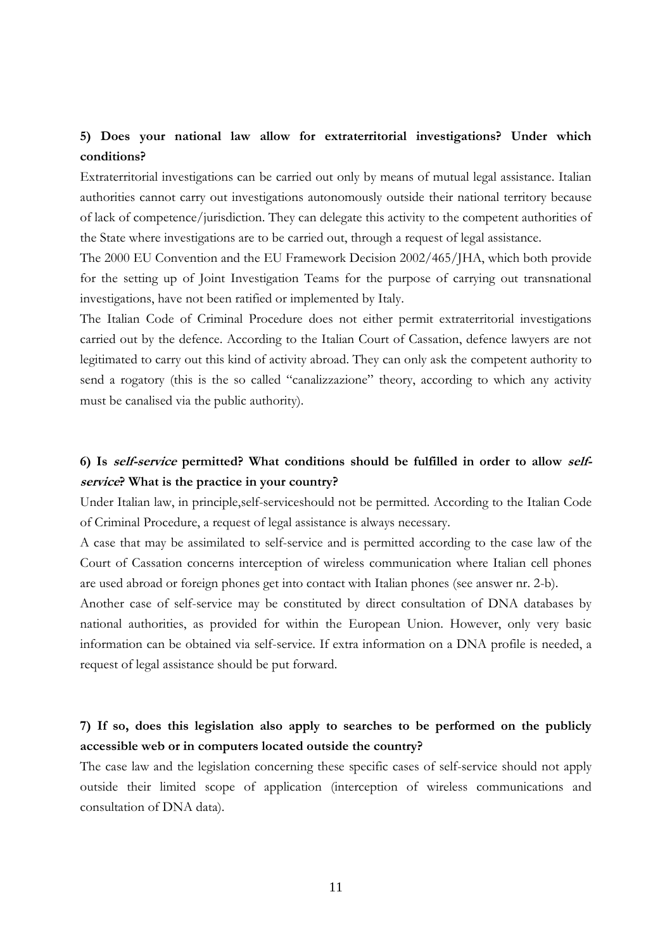## **5) Does your national law allow for extraterritorial investigations? Under which conditions?**

Extraterritorial investigations can be carried out only by means of mutual legal assistance. Italian authorities cannot carry out investigations autonomously outside their national territory because of lack of competence/jurisdiction. They can delegate this activity to the competent authorities of the State where investigations are to be carried out, through a request of legal assistance.

The 2000 EU Convention and the EU Framework Decision 2002/465/JHA, which both provide for the setting up of Joint Investigation Teams for the purpose of carrying out transnational investigations, have not been ratified or implemented by Italy.

The Italian Code of Criminal Procedure does not either permit extraterritorial investigations carried out by the defence. According to the Italian Court of Cassation, defence lawyers are not legitimated to carry out this kind of activity abroad. They can only ask the competent authority to send a rogatory (this is the so called "canalizzazione" theory, according to which any activity must be canalised via the public authority).

## **6) Is self-service permitted? What conditions should be fulfilled in order to allow selfservice? What is the practice in your country?**

Under Italian law, in principle,self-serviceshould not be permitted. According to the Italian Code of Criminal Procedure, a request of legal assistance is always necessary.

A case that may be assimilated to self-service and is permitted according to the case law of the Court of Cassation concerns interception of wireless communication where Italian cell phones are used abroad or foreign phones get into contact with Italian phones (see answer nr. 2-b).

Another case of self-service may be constituted by direct consultation of DNA databases by national authorities, as provided for within the European Union. However, only very basic information can be obtained via self-service. If extra information on a DNA profile is needed, a request of legal assistance should be put forward.

## **7) If so, does this legislation also apply to searches to be performed on the publicly accessible web or in computers located outside the country?**

The case law and the legislation concerning these specific cases of self-service should not apply outside their limited scope of application (interception of wireless communications and consultation of DNA data).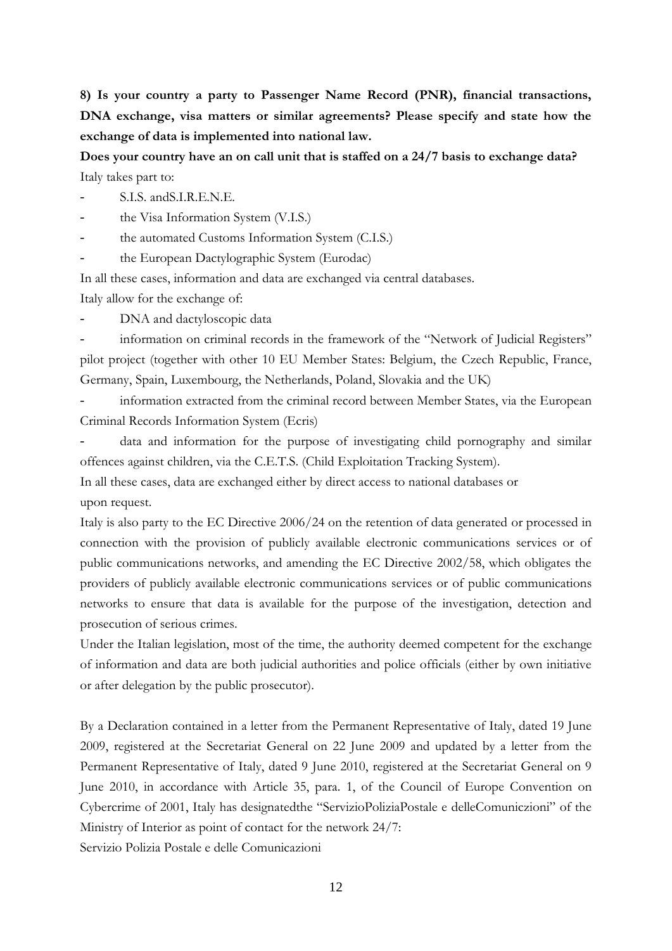**8) Is your country a party to Passenger Name Record (PNR), financial transactions, DNA exchange, visa matters or similar agreements? Please specify and state how the exchange of data is implemented into national law.**

**Does your country have an on call unit that is staffed on a 24/7 basis to exchange data?** Italy takes part to:

S.I.S. and S.I.R.E.N.E.

the Visa Information System (V.I.S.)

the automated Customs Information System (C.I.S.)

the European Dactylographic System (Eurodac)

In all these cases, information and data are exchanged via central databases.

Italy allow for the exchange of:

DNA and dactyloscopic data

information on criminal records in the framework of the "Network of Judicial Registers" pilot project (together with other 10 EU Member States: Belgium, the Czech Republic, France, Germany, Spain, Luxembourg, the Netherlands, Poland, Slovakia and the UK)

information extracted from the criminal record between Member States, via the European Criminal Records Information System (Ecris)

data and information for the purpose of investigating child pornography and similar offences against children, via the C.E.T.S. (Child Exploitation Tracking System).

In all these cases, data are exchanged either by direct access to national databases or upon request.

Italy is also party to the EC Directive 2006/24 on the retention of data generated or processed in connection with the provision of publicly available electronic communications services or of public communications networks, and amending the EC Directive 2002/58, which obligates the providers of publicly available electronic communications services or of public communications networks to ensure that data is available for the purpose of the investigation, detection and prosecution of serious crimes.

Under the Italian legislation, most of the time, the authority deemed competent for the exchange of information and data are both judicial authorities and police officials (either by own initiative or after delegation by the public prosecutor).

By a Declaration contained in a letter from the Permanent Representative of Italy, dated 19 June 2009, registered at the Secretariat General on 22 June 2009 and updated by a letter from the Permanent Representative of Italy, dated 9 June 2010, registered at the Secretariat General on 9 June 2010, in accordance with Article 35, para. 1, of the Council of Europe Convention on Cybercrime of 2001, Italy has designatedthe "ServizioPoliziaPostale e delleComuniczioni" of the Ministry of Interior as point of contact for the network 24/7: Servizio Polizia Postale e delle Comunicazioni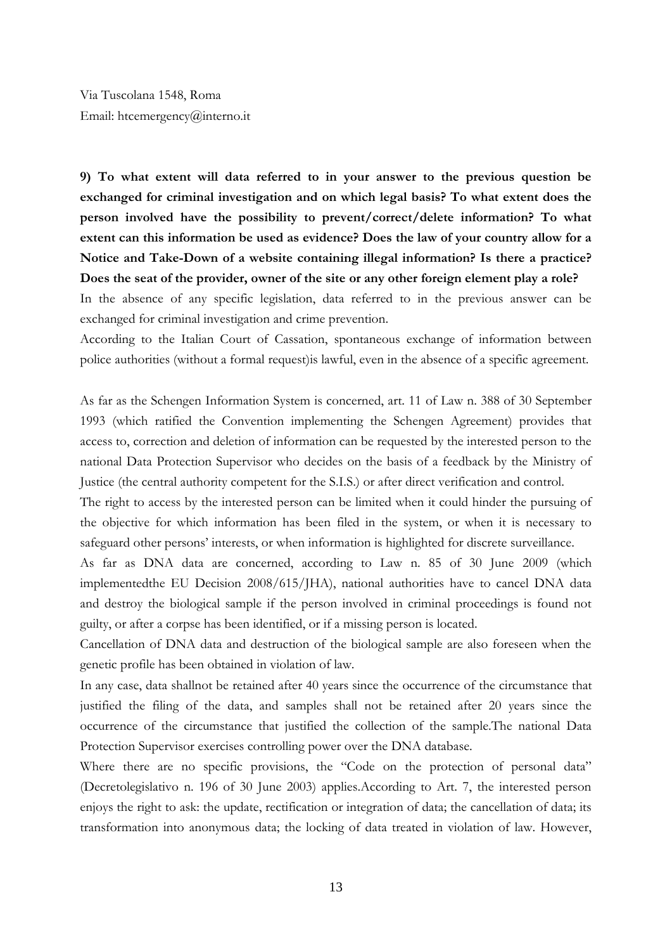Via Tuscolana 1548, Roma Email: htcemergency@interno.it

**9) To what extent will data referred to in your answer to the previous question be exchanged for criminal investigation and on which legal basis? To what extent does the person involved have the possibility to prevent/correct/delete information? To what extent can this information be used as evidence? Does the law of your country allow for a Notice and Take-Down of a website containing illegal information? Is there a practice? Does the seat of the provider, owner of the site or any other foreign element play a role?**

In the absence of any specific legislation, data referred to in the previous answer can be exchanged for criminal investigation and crime prevention.

According to the Italian Court of Cassation, spontaneous exchange of information between police authorities (without a formal request)is lawful, even in the absence of a specific agreement.

As far as the Schengen Information System is concerned, art. 11 of Law n. 388 of 30 September 1993 (which ratified the Convention implementing the Schengen Agreement) provides that access to, correction and deletion of information can be requested by the interested person to the national Data Protection Supervisor who decides on the basis of a feedback by the Ministry of Justice (the central authority competent for the S.I.S.) or after direct verification and control.

The right to access by the interested person can be limited when it could hinder the pursuing of the objective for which information has been filed in the system, or when it is necessary to safeguard other persons' interests, or when information is highlighted for discrete surveillance.

As far as DNA data are concerned, according to Law n. 85 of 30 June 2009 (which implementedthe EU Decision 2008/615/JHA), national authorities have to cancel DNA data and destroy the biological sample if the person involved in criminal proceedings is found not guilty, or after a corpse has been identified, or if a missing person is located.

Cancellation of DNA data and destruction of the biological sample are also foreseen when the genetic profile has been obtained in violation of law.

In any case, data shallnot be retained after 40 years since the occurrence of the circumstance that justified the filing of the data, and samples shall not be retained after 20 years since the occurrence of the circumstance that justified the collection of the sample.The national Data Protection Supervisor exercises controlling power over the DNA database.

Where there are no specific provisions, the "Code on the protection of personal data" (Decretolegislativo n. 196 of 30 June 2003) applies.According to Art. 7, the interested person enjoys the right to ask: the update, rectification or integration of data; the cancellation of data; its transformation into anonymous data; the locking of data treated in violation of law. However,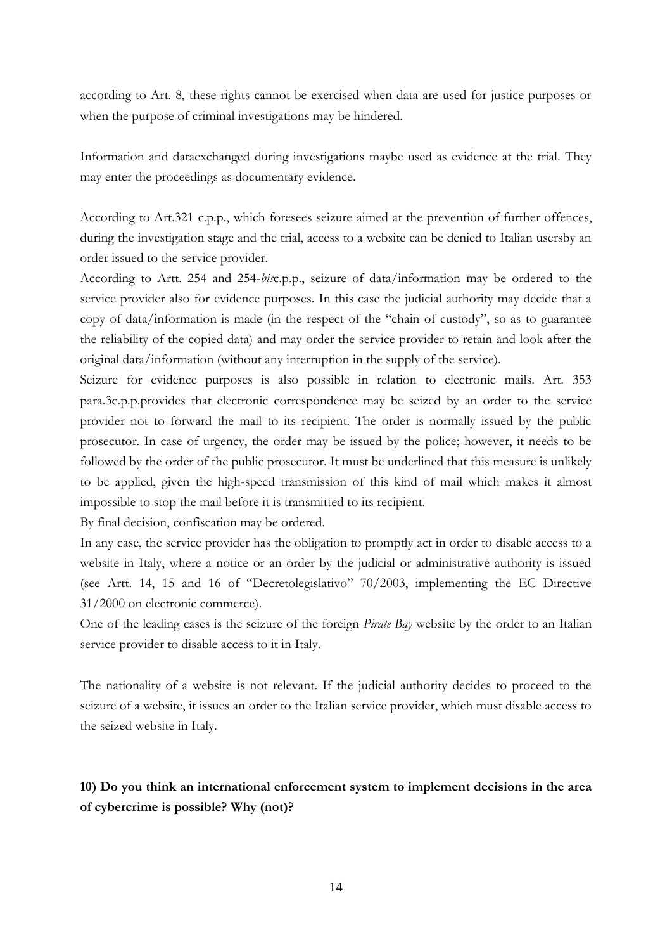according to Art. 8, these rights cannot be exercised when data are used for justice purposes or when the purpose of criminal investigations may be hindered.

Information and dataexchanged during investigations maybe used as evidence at the trial. They may enter the proceedings as documentary evidence.

According to Art.321 c.p.p., which foresees seizure aimed at the prevention of further offences, during the investigation stage and the trial, access to a website can be denied to Italian usersby an order issued to the service provider.

According to Artt. 254 and 254-*bis*c.p.p., seizure of data/information may be ordered to the service provider also for evidence purposes. In this case the judicial authority may decide that a copy of data/information is made (in the respect of the "chain of custody", so as to guarantee the reliability of the copied data) and may order the service provider to retain and look after the original data/information (without any interruption in the supply of the service).

Seizure for evidence purposes is also possible in relation to electronic mails. Art. 353 para.3c.p.p.provides that electronic correspondence may be seized by an order to the service provider not to forward the mail to its recipient. The order is normally issued by the public prosecutor. In case of urgency, the order may be issued by the police; however, it needs to be followed by the order of the public prosecutor. It must be underlined that this measure is unlikely to be applied, given the high-speed transmission of this kind of mail which makes it almost impossible to stop the mail before it is transmitted to its recipient.

By final decision, confiscation may be ordered.

In any case, the service provider has the obligation to promptly act in order to disable access to a website in Italy, where a notice or an order by the judicial or administrative authority is issued (see Artt. 14, 15 and 16 of "Decretolegislativo" 70/2003, implementing the EC Directive 31/2000 on electronic commerce).

One of the leading cases is the seizure of the foreign *Pirate Bay* website by the order to an Italian service provider to disable access to it in Italy.

The nationality of a website is not relevant. If the judicial authority decides to proceed to the seizure of a website, it issues an order to the Italian service provider, which must disable access to the seized website in Italy.

## **10) Do you think an international enforcement system to implement decisions in the area of cybercrime is possible? Why (not)?**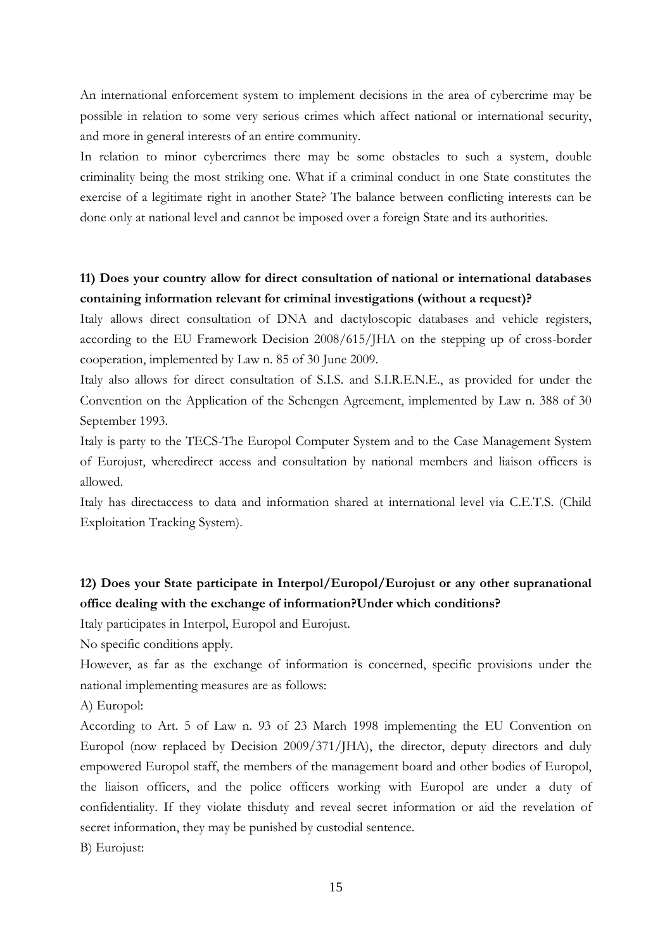An international enforcement system to implement decisions in the area of cybercrime may be possible in relation to some very serious crimes which affect national or international security, and more in general interests of an entire community.

In relation to minor cybercrimes there may be some obstacles to such a system, double criminality being the most striking one. What if a criminal conduct in one State constitutes the exercise of a legitimate right in another State? The balance between conflicting interests can be done only at national level and cannot be imposed over a foreign State and its authorities.

## **11) Does your country allow for direct consultation of national or international databases containing information relevant for criminal investigations (without a request)?**

Italy allows direct consultation of DNA and dactyloscopic databases and vehicle registers, according to the EU Framework Decision 2008/615/JHA on the stepping up of cross-border cooperation, implemented by Law n. 85 of 30 June 2009.

Italy also allows for direct consultation of S.I.S. and S.I.R.E.N.E., as provided for under the Convention on the Application of the Schengen Agreement, implemented by Law n. 388 of 30 September 1993.

Italy is party to the TECS-The Europol Computer System and to the Case Management System of Eurojust, wheredirect access and consultation by national members and liaison officers is allowed.

Italy has directaccess to data and information shared at international level via C.E.T.S. (Child Exploitation Tracking System).

## **12) Does your State participate in Interpol/Europol/Eurojust or any other supranational office dealing with the exchange of information?Under which conditions?**

Italy participates in Interpol, Europol and Eurojust.

No specific conditions apply.

However, as far as the exchange of information is concerned, specific provisions under the national implementing measures are as follows:

A) Europol:

According to Art. 5 of Law n. 93 of 23 March 1998 implementing the EU Convention on Europol (now replaced by Decision 2009/371/JHA), the director, deputy directors and duly empowered Europol staff, the members of the management board and other bodies of Europol, the liaison officers, and the police officers working with Europol are under a duty of confidentiality. If they violate thisduty and reveal secret information or aid the revelation of secret information, they may be punished by custodial sentence.

B) Eurojust: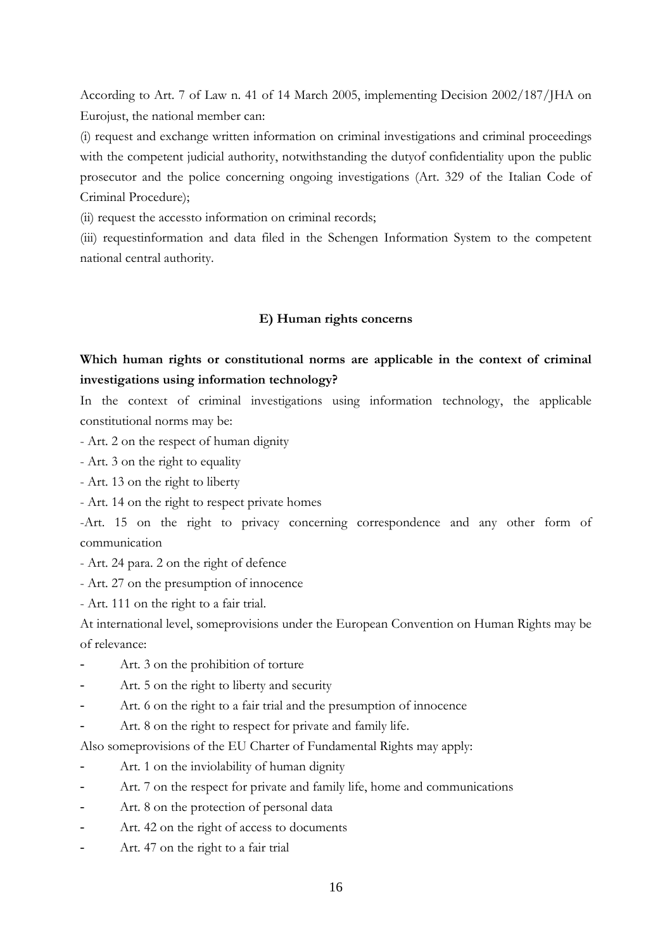According to Art. 7 of Law n. 41 of 14 March 2005, implementing Decision 2002/187/JHA on Eurojust, the national member can:

(i) request and exchange written information on criminal investigations and criminal proceedings with the competent judicial authority, notwithstanding the dutyof confidentiality upon the public prosecutor and the police concerning ongoing investigations (Art. 329 of the Italian Code of Criminal Procedure);

(ii) request the accessto information on criminal records;

(iii) requestinformation and data filed in the Schengen Information System to the competent national central authority.

#### **E) Human rights concerns**

## **Which human rights or constitutional norms are applicable in the context of criminal investigations using information technology?**

In the context of criminal investigations using information technology, the applicable constitutional norms may be:

- Art. 2 on the respect of human dignity
- Art. 3 on the right to equality
- Art. 13 on the right to liberty
- Art. 14 on the right to respect private homes

-Art. 15 on the right to privacy concerning correspondence and any other form of communication

- Art. 24 para. 2 on the right of defence
- Art. 27 on the presumption of innocence
- Art. 111 on the right to a fair trial.

At international level, someprovisions under the European Convention on Human Rights may be of relevance:

- Art. 3 on the prohibition of torture
- Art. 5 on the right to liberty and security
- Art. 6 on the right to a fair trial and the presumption of innocence
- Art. 8 on the right to respect for private and family life.

Also someprovisions of the EU Charter of Fundamental Rights may apply:

- Art. 1 on the inviolability of human dignity
- Art. 7 on the respect for private and family life, home and communications
- Art. 8 on the protection of personal data
- Art. 42 on the right of access to documents
- Art. 47 on the right to a fair trial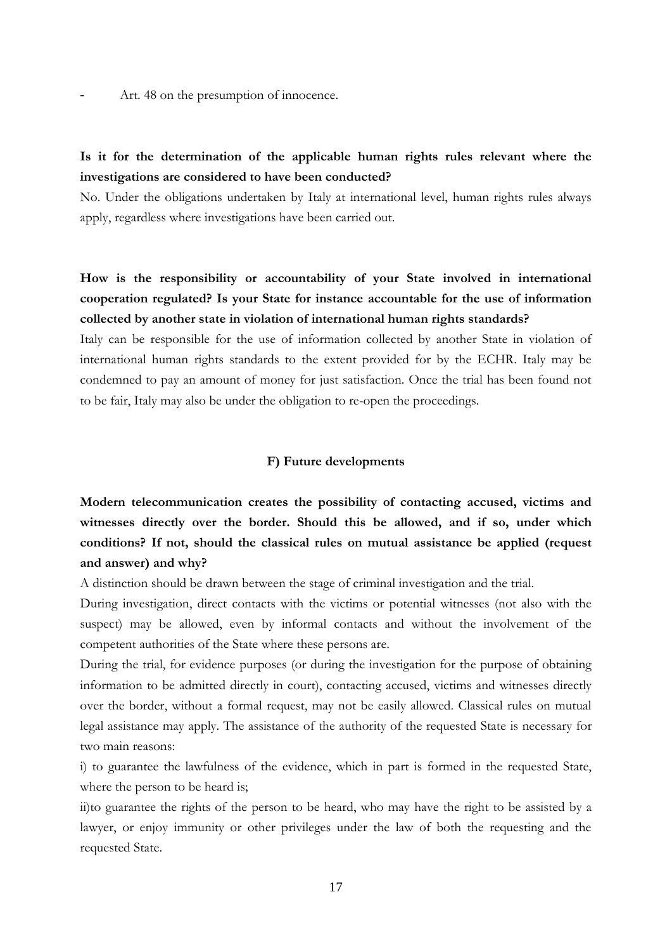Art. 48 on the presumption of innocence.

## **Is it for the determination of the applicable human rights rules relevant where the investigations are considered to have been conducted?**

No. Under the obligations undertaken by Italy at international level, human rights rules always apply, regardless where investigations have been carried out.

**How is the responsibility or accountability of your State involved in international cooperation regulated? Is your State for instance accountable for the use of information collected by another state in violation of international human rights standards?** 

Italy can be responsible for the use of information collected by another State in violation of international human rights standards to the extent provided for by the ECHR. Italy may be condemned to pay an amount of money for just satisfaction. Once the trial has been found not to be fair, Italy may also be under the obligation to re-open the proceedings.

#### **F) Future developments**

**Modern telecommunication creates the possibility of contacting accused, victims and witnesses directly over the border. Should this be allowed, and if so, under which conditions? If not, should the classical rules on mutual assistance be applied (request and answer) and why?**

A distinction should be drawn between the stage of criminal investigation and the trial.

During investigation, direct contacts with the victims or potential witnesses (not also with the suspect) may be allowed, even by informal contacts and without the involvement of the competent authorities of the State where these persons are.

During the trial, for evidence purposes (or during the investigation for the purpose of obtaining information to be admitted directly in court), contacting accused, victims and witnesses directly over the border, without a formal request, may not be easily allowed. Classical rules on mutual legal assistance may apply. The assistance of the authority of the requested State is necessary for two main reasons:

i) to guarantee the lawfulness of the evidence, which in part is formed in the requested State, where the person to be heard is;

ii)to guarantee the rights of the person to be heard, who may have the right to be assisted by a lawyer, or enjoy immunity or other privileges under the law of both the requesting and the requested State.